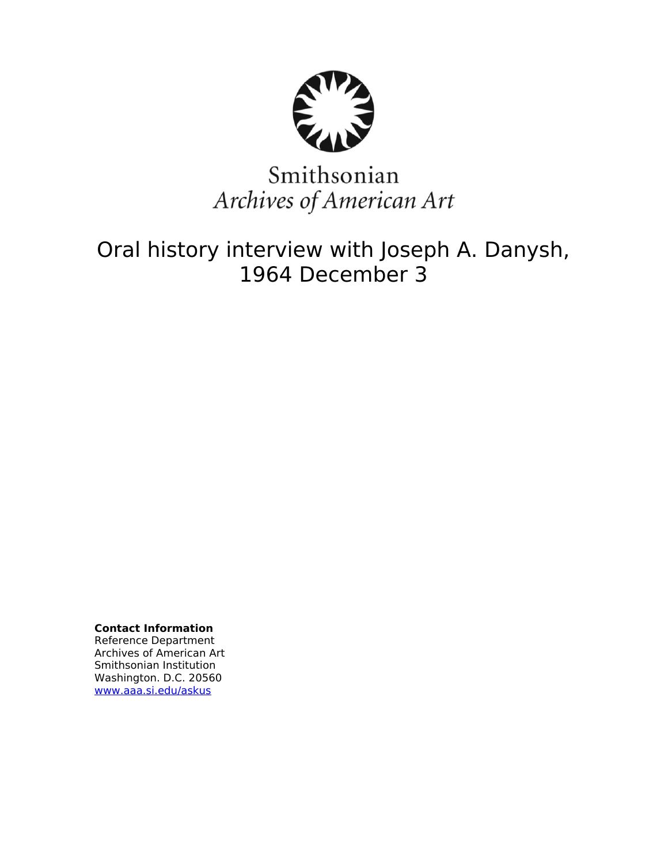

# Smithsonian Archives of American Art

Oral history interview with Joseph A. Danysh, 1964 December 3

**Contact Information** Reference Department Archives of American Art Smithsonian Institution Washington. D.C. 20560 [www.aaa.si.edu/askus](http://www.aaa.si.edu/askus)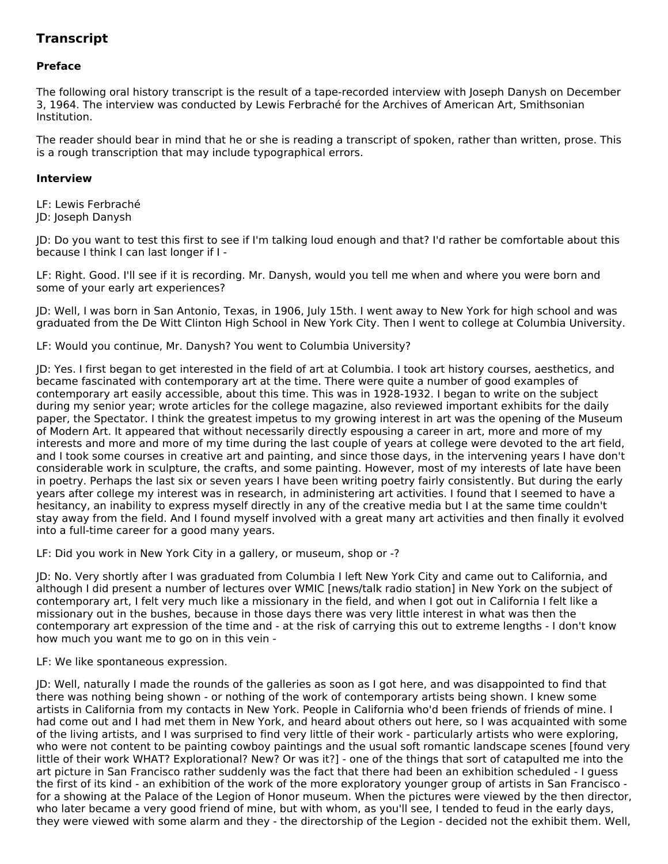# **Transcript**

# **Preface**

The following oral history transcript is the result of a tape-recorded interview with Joseph Danysh on December 3, 1964. The interview was conducted by Lewis Ferbraché for the Archives of American Art, Smithsonian Institution.

The reader should bear in mind that he or she is reading a transcript of spoken, rather than written, prose. This is a rough transcription that may include typographical errors.

#### **Interview**

LF: Lewis Ferbraché JD: Joseph Danysh

JD: Do you want to test this first to see if I'm talking loud enough and that? I'd rather be comfortable about this because I think I can last longer if I -

LF: Right. Good. I'll see if it is recording. Mr. Danysh, would you tell me when and where you were born and some of your early art experiences?

JD: Well, I was born in San Antonio, Texas, in 1906, July 15th. I went away to New York for high school and was graduated from the De Witt Clinton High School in New York City. Then I went to college at Columbia University.

LF: Would you continue, Mr. Danysh? You went to Columbia University?

JD: Yes. I first began to get interested in the field of art at Columbia. I took art history courses, aesthetics, and became fascinated with contemporary art at the time. There were quite a number of good examples of contemporary art easily accessible, about this time. This was in 1928-1932. I began to write on the subject during my senior year; wrote articles for the college magazine, also reviewed important exhibits for the daily paper, the Spectator. I think the greatest impetus to my growing interest in art was the opening of the Museum of Modern Art. It appeared that without necessarily directly espousing a career in art, more and more of my interests and more and more of my time during the last couple of years at college were devoted to the art field, and I took some courses in creative art and painting, and since those days, in the intervening years I have don't considerable work in sculpture, the crafts, and some painting. However, most of my interests of late have been in poetry. Perhaps the last six or seven years I have been writing poetry fairly consistently. But during the early years after college my interest was in research, in administering art activities. I found that I seemed to have a hesitancy, an inability to express myself directly in any of the creative media but I at the same time couldn't stay away from the field. And I found myself involved with a great many art activities and then finally it evolved into a full-time career for a good many years.

LF: Did you work in New York City in a gallery, or museum, shop or -?

JD: No. Very shortly after I was graduated from Columbia I left New York City and came out to California, and although I did present a number of lectures over WMIC [news/talk radio station] in New York on the subject of contemporary art, I felt very much like a missionary in the field, and when I got out in California I felt like a missionary out in the bushes, because in those days there was very little interest in what was then the contemporary art expression of the time and - at the risk of carrying this out to extreme lengths - I don't know how much you want me to go on in this vein -

LF: We like spontaneous expression.

JD: Well, naturally I made the rounds of the galleries as soon as I got here, and was disappointed to find that there was nothing being shown - or nothing of the work of contemporary artists being shown. I knew some artists in California from my contacts in New York. People in California who'd been friends of friends of mine. I had come out and I had met them in New York, and heard about others out here, so I was acquainted with some of the living artists, and I was surprised to find very little of their work - particularly artists who were exploring, who were not content to be painting cowboy paintings and the usual soft romantic landscape scenes [found very little of their work WHAT? Explorational? New? Or was it?] - one of the things that sort of catapulted me into the art picture in San Francisco rather suddenly was the fact that there had been an exhibition scheduled - I guess the first of its kind - an exhibition of the work of the more exploratory younger group of artists in San Francisco for a showing at the Palace of the Legion of Honor museum. When the pictures were viewed by the then director, who later became a very good friend of mine, but with whom, as you'll see, I tended to feud in the early days, they were viewed with some alarm and they - the directorship of the Legion - decided not the exhibit them. Well,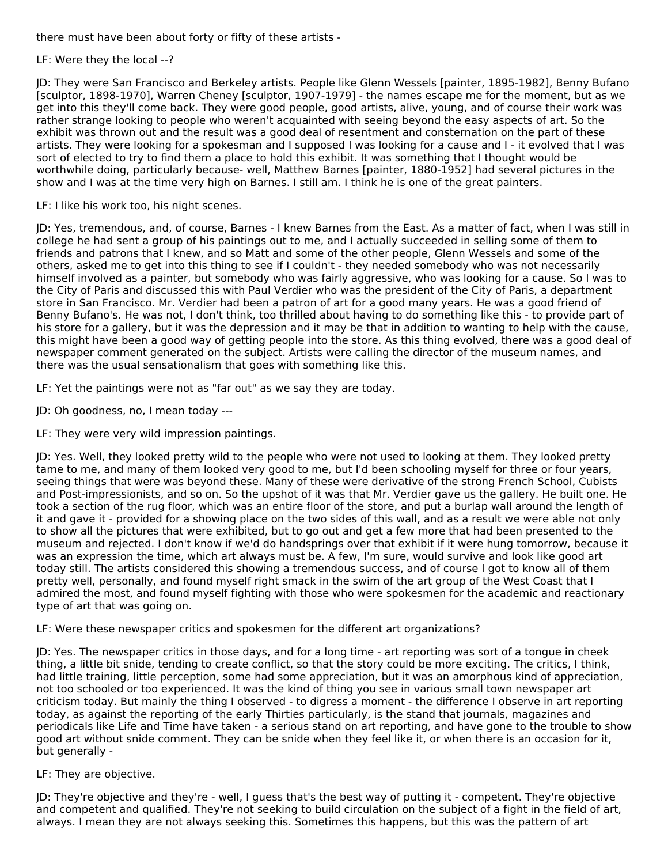there must have been about forty or fifty of these artists -

LF: Were they the local --?

JD: They were San Francisco and Berkeley artists. People like Glenn Wessels [painter, 1895-1982], Benny Bufano [sculptor, 1898-1970], Warren Cheney [sculptor, 1907-1979] - the names escape me for the moment, but as we get into this they'll come back. They were good people, good artists, alive, young, and of course their work was rather strange looking to people who weren't acquainted with seeing beyond the easy aspects of art. So the exhibit was thrown out and the result was a good deal of resentment and consternation on the part of these artists. They were looking for a spokesman and I supposed I was looking for a cause and I - it evolved that I was sort of elected to try to find them a place to hold this exhibit. It was something that I thought would be worthwhile doing, particularly because- well, Matthew Barnes [painter, 1880-1952] had several pictures in the show and I was at the time very high on Barnes. I still am. I think he is one of the great painters.

LF: I like his work too, his night scenes.

JD: Yes, tremendous, and, of course, Barnes - I knew Barnes from the East. As a matter of fact, when I was still in college he had sent a group of his paintings out to me, and I actually succeeded in selling some of them to friends and patrons that I knew, and so Matt and some of the other people, Glenn Wessels and some of the others, asked me to get into this thing to see if I couldn't - they needed somebody who was not necessarily himself involved as a painter, but somebody who was fairly aggressive, who was looking for a cause. So I was to the City of Paris and discussed this with Paul Verdier who was the president of the City of Paris, a department store in San Francisco. Mr. Verdier had been a patron of art for a good many years. He was a good friend of Benny Bufano's. He was not, I don't think, too thrilled about having to do something like this - to provide part of his store for a gallery, but it was the depression and it may be that in addition to wanting to help with the cause, this might have been a good way of getting people into the store. As this thing evolved, there was a good deal of newspaper comment generated on the subject. Artists were calling the director of the museum names, and there was the usual sensationalism that goes with something like this.

LF: Yet the paintings were not as "far out" as we say they are today.

JD: Oh goodness, no, I mean today ---

LF: They were very wild impression paintings.

JD: Yes. Well, they looked pretty wild to the people who were not used to looking at them. They looked pretty tame to me, and many of them looked very good to me, but I'd been schooling myself for three or four years, seeing things that were was beyond these. Many of these were derivative of the strong French School, Cubists and Post-impressionists, and so on. So the upshot of it was that Mr. Verdier gave us the gallery. He built one. He took a section of the rug floor, which was an entire floor of the store, and put a burlap wall around the length of it and gave it - provided for a showing place on the two sides of this wall, and as a result we were able not only to show all the pictures that were exhibited, but to go out and get a few more that had been presented to the museum and rejected. I don't know if we'd do handsprings over that exhibit if it were hung tomorrow, because it was an expression the time, which art always must be. A few, I'm sure, would survive and look like good art today still. The artists considered this showing a tremendous success, and of course I got to know all of them pretty well, personally, and found myself right smack in the swim of the art group of the West Coast that I admired the most, and found myself fighting with those who were spokesmen for the academic and reactionary type of art that was going on.

LF: Were these newspaper critics and spokesmen for the different art organizations?

JD: Yes. The newspaper critics in those days, and for a long time - art reporting was sort of a tongue in cheek thing, a little bit snide, tending to create conflict, so that the story could be more exciting. The critics, I think, had little training, little perception, some had some appreciation, but it was an amorphous kind of appreciation, not too schooled or too experienced. It was the kind of thing you see in various small town newspaper art criticism today. But mainly the thing I observed - to digress a moment - the difference I observe in art reporting today, as against the reporting of the early Thirties particularly, is the stand that journals, magazines and periodicals like Life and Time have taken - a serious stand on art reporting, and have gone to the trouble to show good art without snide comment. They can be snide when they feel like it, or when there is an occasion for it, but generally -

# LF: They are objective.

JD: They're objective and they're - well, I guess that's the best way of putting it - competent. They're objective and competent and qualified. They're not seeking to build circulation on the subject of a fight in the field of art, always. I mean they are not always seeking this. Sometimes this happens, but this was the pattern of art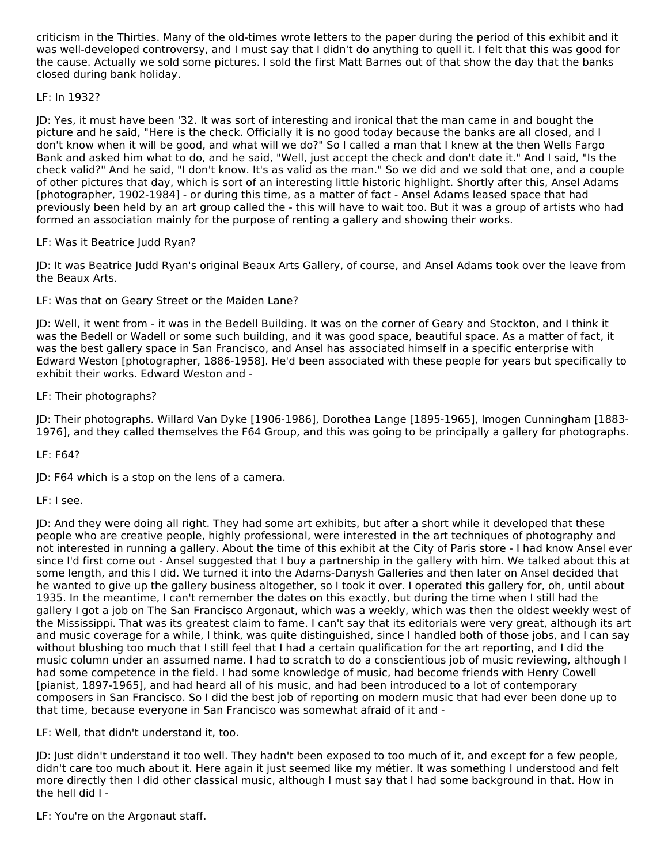criticism in the Thirties. Many of the old-times wrote letters to the paper during the period of this exhibit and it was well-developed controversy, and I must say that I didn't do anything to quell it. I felt that this was good for the cause. Actually we sold some pictures. I sold the first Matt Barnes out of that show the day that the banks closed during bank holiday.

# LF: In 1932?

JD: Yes, it must have been '32. It was sort of interesting and ironical that the man came in and bought the picture and he said, "Here is the check. Officially it is no good today because the banks are all closed, and I don't know when it will be good, and what will we do?" So I called a man that I knew at the then Wells Fargo Bank and asked him what to do, and he said, "Well, just accept the check and don't date it." And I said, "Is the check valid?" And he said, "I don't know. It's as valid as the man." So we did and we sold that one, and a couple of other pictures that day, which is sort of an interesting little historic highlight. Shortly after this, Ansel Adams [photographer, 1902-1984] - or during this time, as a matter of fact - Ansel Adams leased space that had previously been held by an art group called the - this will have to wait too. But it was a group of artists who had formed an association mainly for the purpose of renting a gallery and showing their works.

# LF: Was it Beatrice Judd Ryan?

JD: It was Beatrice Judd Ryan's original Beaux Arts Gallery, of course, and Ansel Adams took over the leave from the Beaux Arts.

LF: Was that on Geary Street or the Maiden Lane?

JD: Well, it went from - it was in the Bedell Building. It was on the corner of Geary and Stockton, and I think it was the Bedell or Wadell or some such building, and it was good space, beautiful space. As a matter of fact, it was the best gallery space in San Francisco, and Ansel has associated himself in a specific enterprise with Edward Weston [photographer, 1886-1958]. He'd been associated with these people for years but specifically to exhibit their works. Edward Weston and -

# LF: Their photographs?

JD: Their photographs. Willard Van Dyke [1906-1986], Dorothea Lange [1895-1965], Imogen Cunningham [1883- 1976], and they called themselves the F64 Group, and this was going to be principally a gallery for photographs.

LF: F64?

JD: F64 which is a stop on the lens of a camera.

LF: I see.

JD: And they were doing all right. They had some art exhibits, but after a short while it developed that these people who are creative people, highly professional, were interested in the art techniques of photography and not interested in running a gallery. About the time of this exhibit at the City of Paris store - I had know Ansel ever since I'd first come out - Ansel suggested that I buy a partnership in the gallery with him. We talked about this at some length, and this I did. We turned it into the Adams-Danysh Galleries and then later on Ansel decided that he wanted to give up the gallery business altogether, so I took it over. I operated this gallery for, oh, until about 1935. In the meantime, I can't remember the dates on this exactly, but during the time when I still had the gallery I got a job on The San Francisco Argonaut, which was a weekly, which was then the oldest weekly west of the Mississippi. That was its greatest claim to fame. I can't say that its editorials were very great, although its art and music coverage for a while, I think, was quite distinguished, since I handled both of those jobs, and I can say without blushing too much that I still feel that I had a certain qualification for the art reporting, and I did the music column under an assumed name. I had to scratch to do a conscientious job of music reviewing, although I had some competence in the field. I had some knowledge of music, had become friends with Henry Cowell [pianist, 1897-1965], and had heard all of his music, and had been introduced to a lot of contemporary composers in San Francisco. So I did the best job of reporting on modern music that had ever been done up to that time, because everyone in San Francisco was somewhat afraid of it and -

LF: Well, that didn't understand it, too.

JD: Just didn't understand it too well. They hadn't been exposed to too much of it, and except for a few people, didn't care too much about it. Here again it just seemed like my métier. It was something I understood and felt more directly then I did other classical music, although I must say that I had some background in that. How in the hell did I -

LF: You're on the Argonaut staff.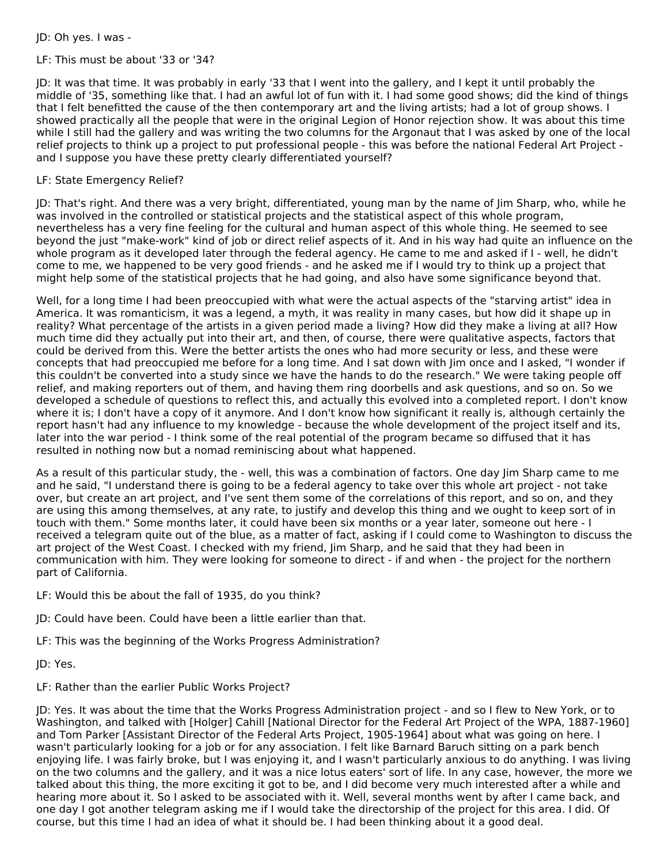JD: Oh yes. I was -

# LF: This must be about '33 or '34?

JD: It was that time. It was probably in early '33 that I went into the gallery, and I kept it until probably the middle of '35, something like that. I had an awful lot of fun with it. I had some good shows; did the kind of things that I felt benefitted the cause of the then contemporary art and the living artists; had a lot of group shows. I showed practically all the people that were in the original Legion of Honor rejection show. It was about this time while I still had the gallery and was writing the two columns for the Argonaut that I was asked by one of the local relief projects to think up a project to put professional people - this was before the national Federal Art Project and I suppose you have these pretty clearly differentiated yourself?

# LF: State Emergency Relief?

JD: That's right. And there was a very bright, differentiated, young man by the name of Jim Sharp, who, while he was involved in the controlled or statistical projects and the statistical aspect of this whole program, nevertheless has a very fine feeling for the cultural and human aspect of this whole thing. He seemed to see beyond the just "make-work" kind of job or direct relief aspects of it. And in his way had quite an influence on the whole program as it developed later through the federal agency. He came to me and asked if I - well, he didn't come to me, we happened to be very good friends - and he asked me if I would try to think up a project that might help some of the statistical projects that he had going, and also have some significance beyond that.

Well, for a long time I had been preoccupied with what were the actual aspects of the "starving artist" idea in America. It was romanticism, it was a legend, a myth, it was reality in many cases, but how did it shape up in reality? What percentage of the artists in a given period made a living? How did they make a living at all? How much time did they actually put into their art, and then, of course, there were qualitative aspects, factors that could be derived from this. Were the better artists the ones who had more security or less, and these were concepts that had preoccupied me before for a long time. And I sat down with Jim once and I asked, "I wonder if this couldn't be converted into a study since we have the hands to do the research." We were taking people off relief, and making reporters out of them, and having them ring doorbells and ask questions, and so on. So we developed a schedule of questions to reflect this, and actually this evolved into a completed report. I don't know where it is; I don't have a copy of it anymore. And I don't know how significant it really is, although certainly the report hasn't had any influence to my knowledge - because the whole development of the project itself and its, later into the war period - I think some of the real potential of the program became so diffused that it has resulted in nothing now but a nomad reminiscing about what happened.

As a result of this particular study, the - well, this was a combination of factors. One day Jim Sharp came to me and he said, "I understand there is going to be a federal agency to take over this whole art project - not take over, but create an art project, and I've sent them some of the correlations of this report, and so on, and they are using this among themselves, at any rate, to justify and develop this thing and we ought to keep sort of in touch with them." Some months later, it could have been six months or a year later, someone out here - I received a telegram quite out of the blue, as a matter of fact, asking if I could come to Washington to discuss the art project of the West Coast. I checked with my friend, Jim Sharp, and he said that they had been in communication with him. They were looking for someone to direct - if and when - the project for the northern part of California.

- LF: Would this be about the fall of 1935, do you think?
- JD: Could have been. Could have been a little earlier than that.
- LF: This was the beginning of the Works Progress Administration?

JD: Yes.

LF: Rather than the earlier Public Works Project?

JD: Yes. It was about the time that the Works Progress Administration project - and so I flew to New York, or to Washington, and talked with [Holger] Cahill [National Director for the Federal Art Project of the WPA, 1887-1960] and Tom Parker [Assistant Director of the Federal Arts Project, 1905-1964] about what was going on here. I wasn't particularly looking for a job or for any association. I felt like Barnard Baruch sitting on a park bench enjoying life. I was fairly broke, but I was enjoying it, and I wasn't particularly anxious to do anything. I was living on the two columns and the gallery, and it was a nice lotus eaters' sort of life. In any case, however, the more we talked about this thing, the more exciting it got to be, and I did become very much interested after a while and hearing more about it. So I asked to be associated with it. Well, several months went by after I came back, and one day I got another telegram asking me if I would take the directorship of the project for this area. I did. Of course, but this time I had an idea of what it should be. I had been thinking about it a good deal.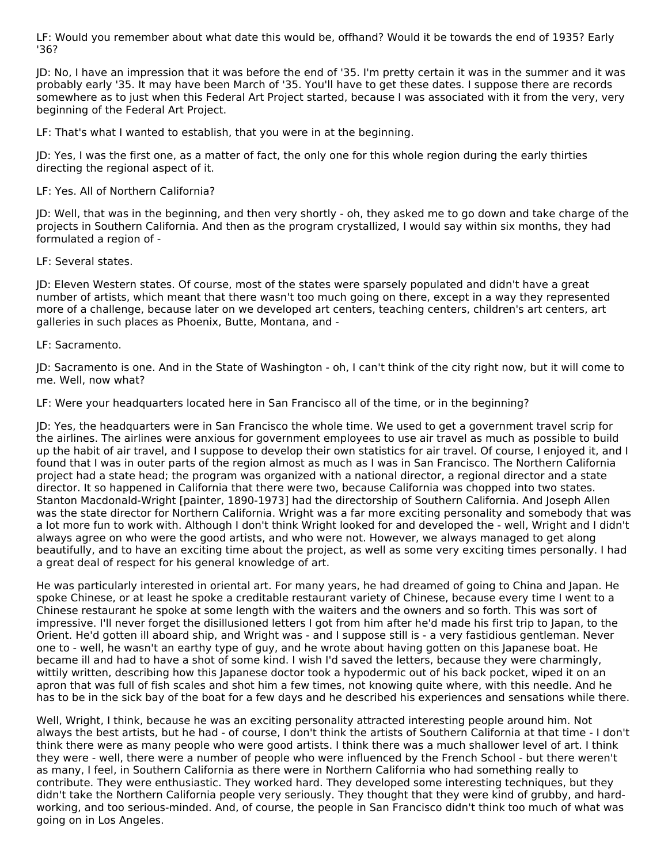LF: Would you remember about what date this would be, offhand? Would it be towards the end of 1935? Early '36?

JD: No, I have an impression that it was before the end of '35. I'm pretty certain it was in the summer and it was probably early '35. It may have been March of '35. You'll have to get these dates. I suppose there are records somewhere as to just when this Federal Art Project started, because I was associated with it from the very, very beginning of the Federal Art Project.

LF: That's what I wanted to establish, that you were in at the beginning.

JD: Yes, I was the first one, as a matter of fact, the only one for this whole region during the early thirties directing the regional aspect of it.

#### LF: Yes. All of Northern California?

JD: Well, that was in the beginning, and then very shortly - oh, they asked me to go down and take charge of the projects in Southern California. And then as the program crystallized, I would say within six months, they had formulated a region of -

#### LF: Several states.

JD: Eleven Western states. Of course, most of the states were sparsely populated and didn't have a great number of artists, which meant that there wasn't too much going on there, except in a way they represented more of a challenge, because later on we developed art centers, teaching centers, children's art centers, art galleries in such places as Phoenix, Butte, Montana, and -

#### LF: Sacramento.

JD: Sacramento is one. And in the State of Washington - oh, I can't think of the city right now, but it will come to me. Well, now what?

LF: Were your headquarters located here in San Francisco all of the time, or in the beginning?

JD: Yes, the headquarters were in San Francisco the whole time. We used to get a government travel scrip for the airlines. The airlines were anxious for government employees to use air travel as much as possible to build up the habit of air travel, and I suppose to develop their own statistics for air travel. Of course, I enjoyed it, and I found that I was in outer parts of the region almost as much as I was in San Francisco. The Northern California project had a state head; the program was organized with a national director, a regional director and a state director. It so happened in California that there were two, because California was chopped into two states. Stanton Macdonald-Wright [painter, 1890-1973] had the directorship of Southern California. And Joseph Allen was the state director for Northern California. Wright was a far more exciting personality and somebody that was a lot more fun to work with. Although I don't think Wright looked for and developed the - well, Wright and I didn't always agree on who were the good artists, and who were not. However, we always managed to get along beautifully, and to have an exciting time about the project, as well as some very exciting times personally. I had a great deal of respect for his general knowledge of art.

He was particularly interested in oriental art. For many years, he had dreamed of going to China and Japan. He spoke Chinese, or at least he spoke a creditable restaurant variety of Chinese, because every time I went to a Chinese restaurant he spoke at some length with the waiters and the owners and so forth. This was sort of impressive. I'll never forget the disillusioned letters I got from him after he'd made his first trip to Japan, to the Orient. He'd gotten ill aboard ship, and Wright was - and I suppose still is - a very fastidious gentleman. Never one to - well, he wasn't an earthy type of guy, and he wrote about having gotten on this Japanese boat. He became ill and had to have a shot of some kind. I wish I'd saved the letters, because they were charmingly, wittily written, describing how this Japanese doctor took a hypodermic out of his back pocket, wiped it on an apron that was full of fish scales and shot him a few times, not knowing quite where, with this needle. And he has to be in the sick bay of the boat for a few days and he described his experiences and sensations while there.

Well, Wright, I think, because he was an exciting personality attracted interesting people around him. Not always the best artists, but he had - of course, I don't think the artists of Southern California at that time - I don't think there were as many people who were good artists. I think there was a much shallower level of art. I think they were - well, there were a number of people who were influenced by the French School - but there weren't as many, I feel, in Southern California as there were in Northern California who had something really to contribute. They were enthusiastic. They worked hard. They developed some interesting techniques, but they didn't take the Northern California people very seriously. They thought that they were kind of grubby, and hardworking, and too serious-minded. And, of course, the people in San Francisco didn't think too much of what was going on in Los Angeles.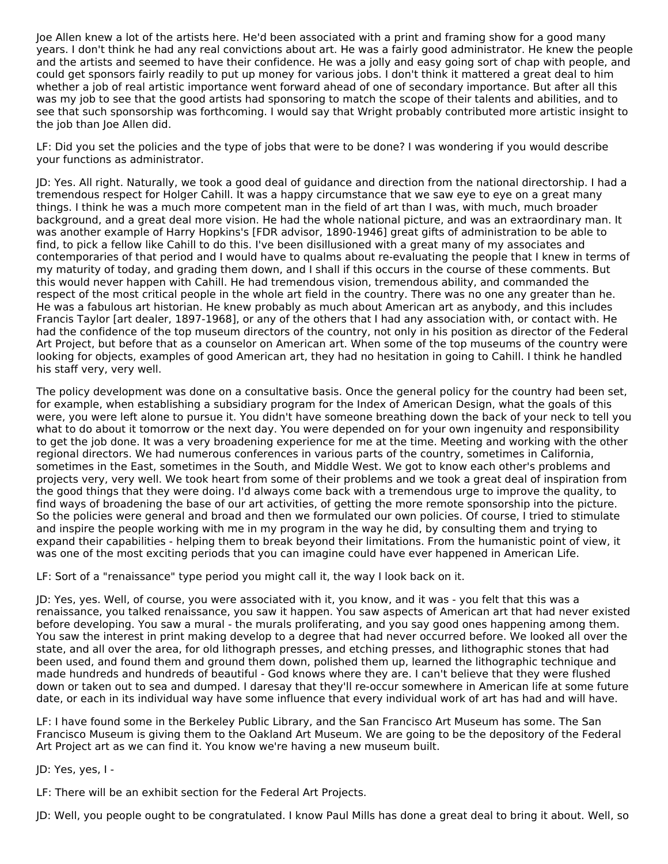Joe Allen knew a lot of the artists here. He'd been associated with a print and framing show for a good many years. I don't think he had any real convictions about art. He was a fairly good administrator. He knew the people and the artists and seemed to have their confidence. He was a jolly and easy going sort of chap with people, and could get sponsors fairly readily to put up money for various jobs. I don't think it mattered a great deal to him whether a job of real artistic importance went forward ahead of one of secondary importance. But after all this was my job to see that the good artists had sponsoring to match the scope of their talents and abilities, and to see that such sponsorship was forthcoming. I would say that Wright probably contributed more artistic insight to the job than Joe Allen did.

LF: Did you set the policies and the type of jobs that were to be done? I was wondering if you would describe your functions as administrator.

JD: Yes. All right. Naturally, we took a good deal of guidance and direction from the national directorship. I had a tremendous respect for Holger Cahill. It was a happy circumstance that we saw eye to eye on a great many things. I think he was a much more competent man in the field of art than I was, with much, much broader background, and a great deal more vision. He had the whole national picture, and was an extraordinary man. It was another example of Harry Hopkins's [FDR advisor, 1890-1946] great gifts of administration to be able to find, to pick a fellow like Cahill to do this. I've been disillusioned with a great many of my associates and contemporaries of that period and I would have to qualms about re-evaluating the people that I knew in terms of my maturity of today, and grading them down, and I shall if this occurs in the course of these comments. But this would never happen with Cahill. He had tremendous vision, tremendous ability, and commanded the respect of the most critical people in the whole art field in the country. There was no one any greater than he. He was a fabulous art historian. He knew probably as much about American art as anybody, and this includes Francis Taylor [art dealer, 1897-1968], or any of the others that I had any association with, or contact with. He had the confidence of the top museum directors of the country, not only in his position as director of the Federal Art Project, but before that as a counselor on American art. When some of the top museums of the country were looking for objects, examples of good American art, they had no hesitation in going to Cahill. I think he handled his staff very, very well.

The policy development was done on a consultative basis. Once the general policy for the country had been set, for example, when establishing a subsidiary program for the Index of American Design, what the goals of this were, you were left alone to pursue it. You didn't have someone breathing down the back of your neck to tell you what to do about it tomorrow or the next day. You were depended on for your own ingenuity and responsibility to get the job done. It was a very broadening experience for me at the time. Meeting and working with the other regional directors. We had numerous conferences in various parts of the country, sometimes in California, sometimes in the East, sometimes in the South, and Middle West. We got to know each other's problems and projects very, very well. We took heart from some of their problems and we took a great deal of inspiration from the good things that they were doing. I'd always come back with a tremendous urge to improve the quality, to find ways of broadening the base of our art activities, of getting the more remote sponsorship into the picture. So the policies were general and broad and then we formulated our own policies. Of course, I tried to stimulate and inspire the people working with me in my program in the way he did, by consulting them and trying to expand their capabilities - helping them to break beyond their limitations. From the humanistic point of view, it was one of the most exciting periods that you can imagine could have ever happened in American Life.

LF: Sort of a "renaissance" type period you might call it, the way I look back on it.

JD: Yes, yes. Well, of course, you were associated with it, you know, and it was - you felt that this was a renaissance, you talked renaissance, you saw it happen. You saw aspects of American art that had never existed before developing. You saw a mural - the murals proliferating, and you say good ones happening among them. You saw the interest in print making develop to a degree that had never occurred before. We looked all over the state, and all over the area, for old lithograph presses, and etching presses, and lithographic stones that had been used, and found them and ground them down, polished them up, learned the lithographic technique and made hundreds and hundreds of beautiful - God knows where they are. I can't believe that they were flushed down or taken out to sea and dumped. I daresay that they'll re-occur somewhere in American life at some future date, or each in its individual way have some influence that every individual work of art has had and will have.

LF: I have found some in the Berkeley Public Library, and the San Francisco Art Museum has some. The San Francisco Museum is giving them to the Oakland Art Museum. We are going to be the depository of the Federal Art Project art as we can find it. You know we're having a new museum built.

JD: Yes, yes, I -

LF: There will be an exhibit section for the Federal Art Projects.

JD: Well, you people ought to be congratulated. I know Paul Mills has done a great deal to bring it about. Well, so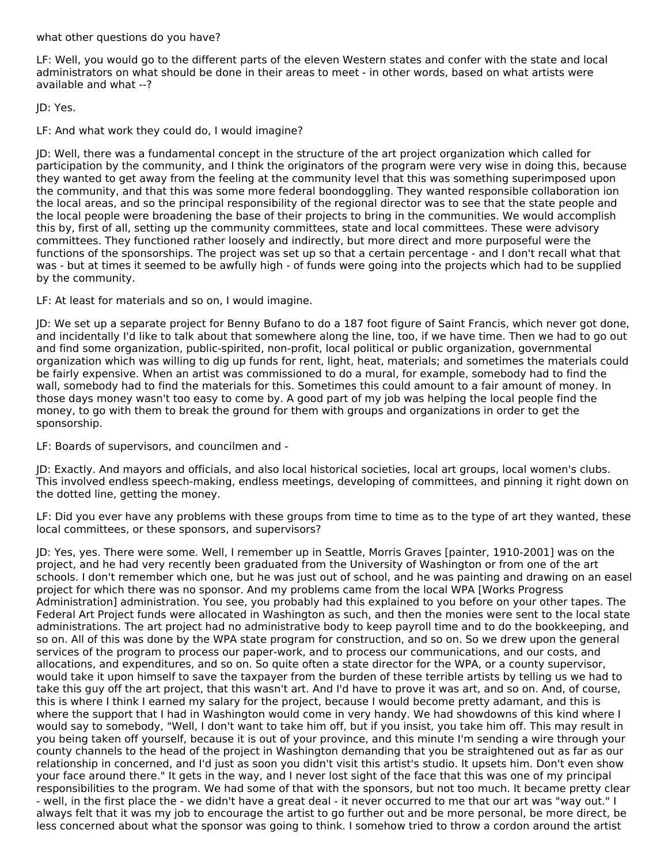what other questions do you have?

LF: Well, you would go to the different parts of the eleven Western states and confer with the state and local administrators on what should be done in their areas to meet - in other words, based on what artists were available and what --?

JD: Yes.

LF: And what work they could do, I would imagine?

JD: Well, there was a fundamental concept in the structure of the art project organization which called for participation by the community, and I think the originators of the program were very wise in doing this, because they wanted to get away from the feeling at the community level that this was something superimposed upon the community, and that this was some more federal boondoggling. They wanted responsible collaboration ion the local areas, and so the principal responsibility of the regional director was to see that the state people and the local people were broadening the base of their projects to bring in the communities. We would accomplish this by, first of all, setting up the community committees, state and local committees. These were advisory committees. They functioned rather loosely and indirectly, but more direct and more purposeful were the functions of the sponsorships. The project was set up so that a certain percentage - and I don't recall what that was - but at times it seemed to be awfully high - of funds were going into the projects which had to be supplied by the community.

LF: At least for materials and so on, I would imagine.

JD: We set up a separate project for Benny Bufano to do a 187 foot figure of Saint Francis, which never got done, and incidentally I'd like to talk about that somewhere along the line, too, if we have time. Then we had to go out and find some organization, public-spirited, non-profit, local political or public organization, governmental organization which was willing to dig up funds for rent, light, heat, materials; and sometimes the materials could be fairly expensive. When an artist was commissioned to do a mural, for example, somebody had to find the wall, somebody had to find the materials for this. Sometimes this could amount to a fair amount of money. In those days money wasn't too easy to come by. A good part of my job was helping the local people find the money, to go with them to break the ground for them with groups and organizations in order to get the sponsorship.

LF: Boards of supervisors, and councilmen and -

JD: Exactly. And mayors and officials, and also local historical societies, local art groups, local women's clubs. This involved endless speech-making, endless meetings, developing of committees, and pinning it right down on the dotted line, getting the money.

LF: Did you ever have any problems with these groups from time to time as to the type of art they wanted, these local committees, or these sponsors, and supervisors?

JD: Yes, yes. There were some. Well, I remember up in Seattle, Morris Graves [painter, 1910-2001] was on the project, and he had very recently been graduated from the University of Washington or from one of the art schools. I don't remember which one, but he was just out of school, and he was painting and drawing on an easel project for which there was no sponsor. And my problems came from the local WPA [Works Progress Administration] administration. You see, you probably had this explained to you before on your other tapes. The Federal Art Project funds were allocated in Washington as such, and then the monies were sent to the local state administrations. The art project had no administrative body to keep payroll time and to do the bookkeeping, and so on. All of this was done by the WPA state program for construction, and so on. So we drew upon the general services of the program to process our paper-work, and to process our communications, and our costs, and allocations, and expenditures, and so on. So quite often a state director for the WPA, or a county supervisor, would take it upon himself to save the taxpayer from the burden of these terrible artists by telling us we had to take this guy off the art project, that this wasn't art. And I'd have to prove it was art, and so on. And, of course, this is where I think I earned my salary for the project, because I would become pretty adamant, and this is where the support that I had in Washington would come in very handy. We had showdowns of this kind where I would say to somebody, "Well, I don't want to take him off, but if you insist, you take him off. This may result in you being taken off yourself, because it is out of your province, and this minute I'm sending a wire through your county channels to the head of the project in Washington demanding that you be straightened out as far as our relationship in concerned, and I'd just as soon you didn't visit this artist's studio. It upsets him. Don't even show your face around there." It gets in the way, and I never lost sight of the face that this was one of my principal responsibilities to the program. We had some of that with the sponsors, but not too much. It became pretty clear - well, in the first place the - we didn't have a great deal - it never occurred to me that our art was "way out." I always felt that it was my job to encourage the artist to go further out and be more personal, be more direct, be less concerned about what the sponsor was going to think. I somehow tried to throw a cordon around the artist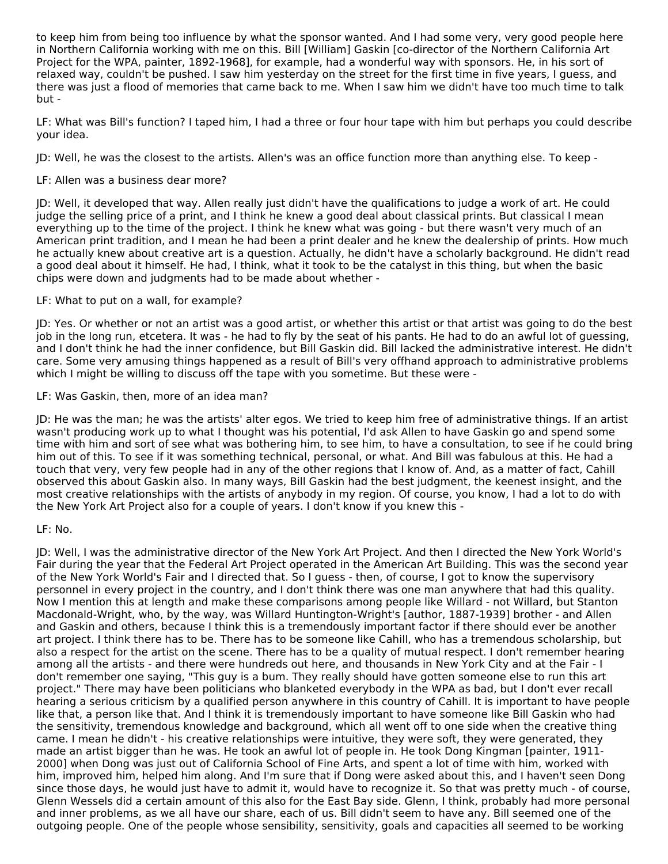to keep him from being too influence by what the sponsor wanted. And I had some very, very good people here in Northern California working with me on this. Bill [William] Gaskin [co-director of the Northern California Art Project for the WPA, painter, 1892-1968], for example, had a wonderful way with sponsors. He, in his sort of relaxed way, couldn't be pushed. I saw him yesterday on the street for the first time in five years, I guess, and there was just a flood of memories that came back to me. When I saw him we didn't have too much time to talk but -

LF: What was Bill's function? I taped him, I had a three or four hour tape with him but perhaps you could describe your idea.

JD: Well, he was the closest to the artists. Allen's was an office function more than anything else. To keep -

# LF: Allen was a business dear more?

JD: Well, it developed that way. Allen really just didn't have the qualifications to judge a work of art. He could judge the selling price of a print, and I think he knew a good deal about classical prints. But classical I mean everything up to the time of the project. I think he knew what was going - but there wasn't very much of an American print tradition, and I mean he had been a print dealer and he knew the dealership of prints. How much he actually knew about creative art is a question. Actually, he didn't have a scholarly background. He didn't read a good deal about it himself. He had, I think, what it took to be the catalyst in this thing, but when the basic chips were down and judgments had to be made about whether -

#### LF: What to put on a wall, for example?

JD: Yes. Or whether or not an artist was a good artist, or whether this artist or that artist was going to do the best job in the long run, etcetera. It was - he had to fly by the seat of his pants. He had to do an awful lot of guessing, and I don't think he had the inner confidence, but Bill Gaskin did. Bill lacked the administrative interest. He didn't care. Some very amusing things happened as a result of Bill's very offhand approach to administrative problems which I might be willing to discuss off the tape with you sometime. But these were -

#### LF: Was Gaskin, then, more of an idea man?

JD: He was the man; he was the artists' alter egos. We tried to keep him free of administrative things. If an artist wasn't producing work up to what I thought was his potential, I'd ask Allen to have Gaskin go and spend some time with him and sort of see what was bothering him, to see him, to have a consultation, to see if he could bring him out of this. To see if it was something technical, personal, or what. And Bill was fabulous at this. He had a touch that very, very few people had in any of the other regions that I know of. And, as a matter of fact, Cahill observed this about Gaskin also. In many ways, Bill Gaskin had the best judgment, the keenest insight, and the most creative relationships with the artists of anybody in my region. Of course, you know, I had a lot to do with the New York Art Project also for a couple of years. I don't know if you knew this -

#### LF: No.

JD: Well, I was the administrative director of the New York Art Project. And then I directed the New York World's Fair during the year that the Federal Art Project operated in the American Art Building. This was the second year of the New York World's Fair and I directed that. So I guess - then, of course, I got to know the supervisory personnel in every project in the country, and I don't think there was one man anywhere that had this quality. Now I mention this at length and make these comparisons among people like Willard - not Willard, but Stanton Macdonald-Wright, who, by the way, was Willard Huntington-Wright's [author, 1887-1939] brother - and Allen and Gaskin and others, because I think this is a tremendously important factor if there should ever be another art project. I think there has to be. There has to be someone like Cahill, who has a tremendous scholarship, but also a respect for the artist on the scene. There has to be a quality of mutual respect. I don't remember hearing among all the artists - and there were hundreds out here, and thousands in New York City and at the Fair - I don't remember one saying, "This guy is a bum. They really should have gotten someone else to run this art project." There may have been politicians who blanketed everybody in the WPA as bad, but I don't ever recall hearing a serious criticism by a qualified person anywhere in this country of Cahill. It is important to have people like that, a person like that. And I think it is tremendously important to have someone like Bill Gaskin who had the sensitivity, tremendous knowledge and background, which all went off to one side when the creative thing came. I mean he didn't - his creative relationships were intuitive, they were soft, they were generated, they made an artist bigger than he was. He took an awful lot of people in. He took Dong Kingman [painter, 1911- 2000] when Dong was just out of California School of Fine Arts, and spent a lot of time with him, worked with him, improved him, helped him along. And I'm sure that if Dong were asked about this, and I haven't seen Dong since those days, he would just have to admit it, would have to recognize it. So that was pretty much - of course, Glenn Wessels did a certain amount of this also for the East Bay side. Glenn, I think, probably had more personal and inner problems, as we all have our share, each of us. Bill didn't seem to have any. Bill seemed one of the outgoing people. One of the people whose sensibility, sensitivity, goals and capacities all seemed to be working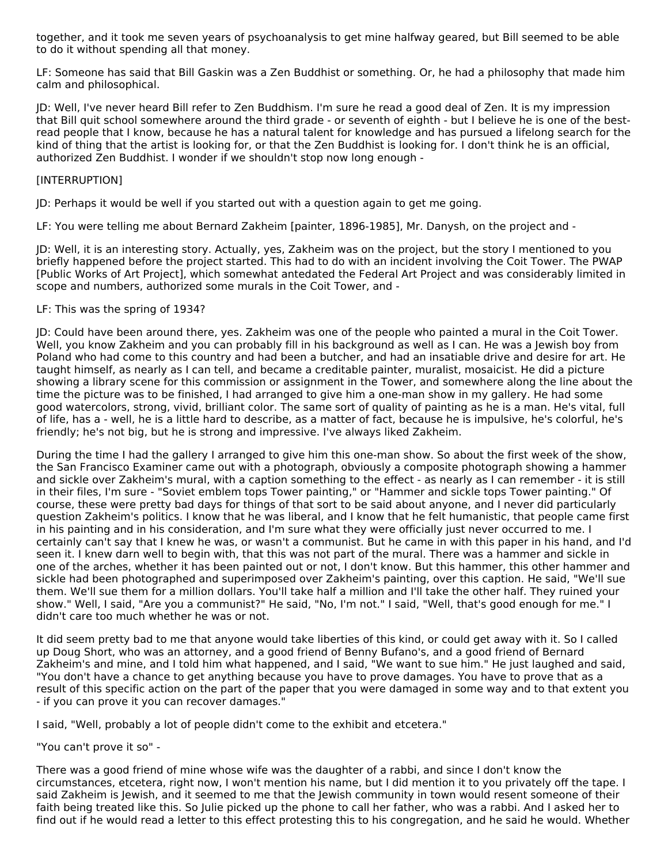together, and it took me seven years of psychoanalysis to get mine halfway geared, but Bill seemed to be able to do it without spending all that money.

LF: Someone has said that Bill Gaskin was a Zen Buddhist or something. Or, he had a philosophy that made him calm and philosophical.

JD: Well, I've never heard Bill refer to Zen Buddhism. I'm sure he read a good deal of Zen. It is my impression that Bill quit school somewhere around the third grade - or seventh of eighth - but I believe he is one of the bestread people that I know, because he has a natural talent for knowledge and has pursued a lifelong search for the kind of thing that the artist is looking for, or that the Zen Buddhist is looking for. I don't think he is an official, authorized Zen Buddhist. I wonder if we shouldn't stop now long enough -

#### [INTERRUPTION]

JD: Perhaps it would be well if you started out with a question again to get me going.

LF: You were telling me about Bernard Zakheim [painter, 1896-1985], Mr. Danysh, on the project and -

JD: Well, it is an interesting story. Actually, yes, Zakheim was on the project, but the story I mentioned to you briefly happened before the project started. This had to do with an incident involving the Coit Tower. The PWAP [Public Works of Art Project], which somewhat antedated the Federal Art Project and was considerably limited in scope and numbers, authorized some murals in the Coit Tower, and -

#### LF: This was the spring of 1934?

JD: Could have been around there, yes. Zakheim was one of the people who painted a mural in the Coit Tower. Well, you know Zakheim and you can probably fill in his background as well as I can. He was a Jewish boy from Poland who had come to this country and had been a butcher, and had an insatiable drive and desire for art. He taught himself, as nearly as I can tell, and became a creditable painter, muralist, mosaicist. He did a picture showing a library scene for this commission or assignment in the Tower, and somewhere along the line about the time the picture was to be finished, I had arranged to give him a one-man show in my gallery. He had some good watercolors, strong, vivid, brilliant color. The same sort of quality of painting as he is a man. He's vital, full of life, has a - well, he is a little hard to describe, as a matter of fact, because he is impulsive, he's colorful, he's friendly; he's not big, but he is strong and impressive. I've always liked Zakheim.

During the time I had the gallery I arranged to give him this one-man show. So about the first week of the show, the San Francisco Examiner came out with a photograph, obviously a composite photograph showing a hammer and sickle over Zakheim's mural, with a caption something to the effect - as nearly as I can remember - it is still in their files, I'm sure - "Soviet emblem tops Tower painting," or "Hammer and sickle tops Tower painting." Of course, these were pretty bad days for things of that sort to be said about anyone, and I never did particularly question Zakheim's politics. I know that he was liberal, and I know that he felt humanistic, that people came first in his painting and in his consideration, and I'm sure what they were officially just never occurred to me. I certainly can't say that I knew he was, or wasn't a communist. But he came in with this paper in his hand, and I'd seen it. I knew darn well to begin with, that this was not part of the mural. There was a hammer and sickle in one of the arches, whether it has been painted out or not, I don't know. But this hammer, this other hammer and sickle had been photographed and superimposed over Zakheim's painting, over this caption. He said, "We'll sue them. We'll sue them for a million dollars. You'll take half a million and I'll take the other half. They ruined your show." Well, I said, "Are you a communist?" He said, "No, I'm not." I said, "Well, that's good enough for me." I didn't care too much whether he was or not.

It did seem pretty bad to me that anyone would take liberties of this kind, or could get away with it. So I called up Doug Short, who was an attorney, and a good friend of Benny Bufano's, and a good friend of Bernard Zakheim's and mine, and I told him what happened, and I said, "We want to sue him." He just laughed and said, "You don't have a chance to get anything because you have to prove damages. You have to prove that as a result of this specific action on the part of the paper that you were damaged in some way and to that extent you - if you can prove it you can recover damages."

I said, "Well, probably a lot of people didn't come to the exhibit and etcetera."

"You can't prove it so" -

There was a good friend of mine whose wife was the daughter of a rabbi, and since I don't know the circumstances, etcetera, right now, I won't mention his name, but I did mention it to you privately off the tape. I said Zakheim is Jewish, and it seemed to me that the Jewish community in town would resent someone of their faith being treated like this. So Julie picked up the phone to call her father, who was a rabbi. And I asked her to find out if he would read a letter to this effect protesting this to his congregation, and he said he would. Whether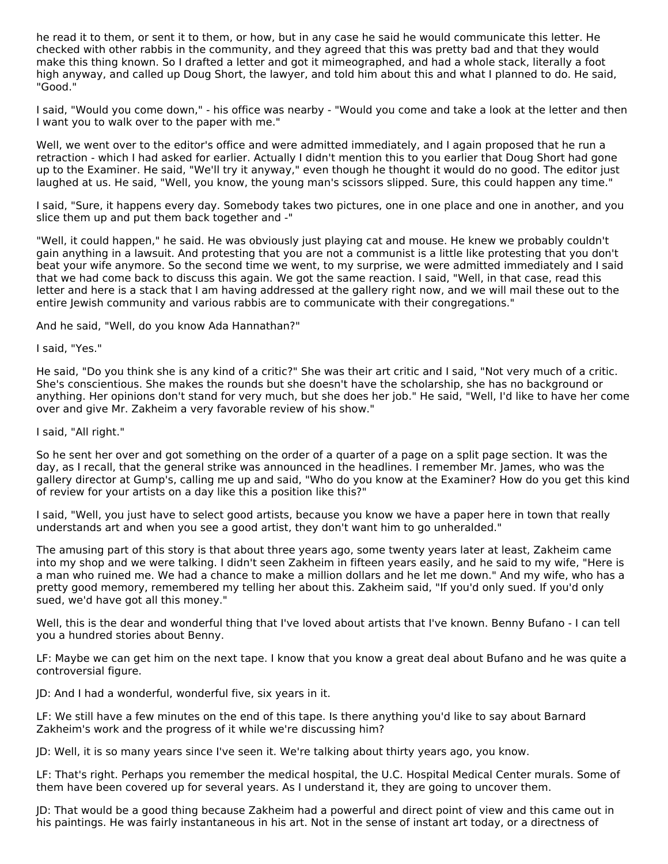he read it to them, or sent it to them, or how, but in any case he said he would communicate this letter. He checked with other rabbis in the community, and they agreed that this was pretty bad and that they would make this thing known. So I drafted a letter and got it mimeographed, and had a whole stack, literally a foot high anyway, and called up Doug Short, the lawyer, and told him about this and what I planned to do. He said, "Good."

I said, "Would you come down," - his office was nearby - "Would you come and take a look at the letter and then I want you to walk over to the paper with me."

Well, we went over to the editor's office and were admitted immediately, and I again proposed that he run a retraction - which I had asked for earlier. Actually I didn't mention this to you earlier that Doug Short had gone up to the Examiner. He said, "We'll try it anyway," even though he thought it would do no good. The editor just laughed at us. He said, "Well, you know, the young man's scissors slipped. Sure, this could happen any time."

I said, "Sure, it happens every day. Somebody takes two pictures, one in one place and one in another, and you slice them up and put them back together and -"

"Well, it could happen," he said. He was obviously just playing cat and mouse. He knew we probably couldn't gain anything in a lawsuit. And protesting that you are not a communist is a little like protesting that you don't beat your wife anymore. So the second time we went, to my surprise, we were admitted immediately and I said that we had come back to discuss this again. We got the same reaction. I said, "Well, in that case, read this letter and here is a stack that I am having addressed at the gallery right now, and we will mail these out to the entire Jewish community and various rabbis are to communicate with their congregations."

And he said, "Well, do you know Ada Hannathan?"

#### I said, "Yes."

He said, "Do you think she is any kind of a critic?" She was their art critic and I said, "Not very much of a critic. She's conscientious. She makes the rounds but she doesn't have the scholarship, she has no background or anything. Her opinions don't stand for very much, but she does her job." He said, "Well, I'd like to have her come over and give Mr. Zakheim a very favorable review of his show."

#### I said, "All right."

So he sent her over and got something on the order of a quarter of a page on a split page section. It was the day, as I recall, that the general strike was announced in the headlines. I remember Mr. James, who was the gallery director at Gump's, calling me up and said, "Who do you know at the Examiner? How do you get this kind of review for your artists on a day like this a position like this?"

I said, "Well, you just have to select good artists, because you know we have a paper here in town that really understands art and when you see a good artist, they don't want him to go unheralded."

The amusing part of this story is that about three years ago, some twenty years later at least, Zakheim came into my shop and we were talking. I didn't seen Zakheim in fifteen years easily, and he said to my wife, "Here is a man who ruined me. We had a chance to make a million dollars and he let me down." And my wife, who has a pretty good memory, remembered my telling her about this. Zakheim said, "If you'd only sued. If you'd only sued, we'd have got all this money."

Well, this is the dear and wonderful thing that I've loved about artists that I've known. Benny Bufano - I can tell you a hundred stories about Benny.

LF: Maybe we can get him on the next tape. I know that you know a great deal about Bufano and he was quite a controversial figure.

JD: And I had a wonderful, wonderful five, six years in it.

LF: We still have a few minutes on the end of this tape. Is there anything you'd like to say about Barnard Zakheim's work and the progress of it while we're discussing him?

JD: Well, it is so many years since I've seen it. We're talking about thirty years ago, you know.

LF: That's right. Perhaps you remember the medical hospital, the U.C. Hospital Medical Center murals. Some of them have been covered up for several years. As I understand it, they are going to uncover them.

JD: That would be a good thing because Zakheim had a powerful and direct point of view and this came out in his paintings. He was fairly instantaneous in his art. Not in the sense of instant art today, or a directness of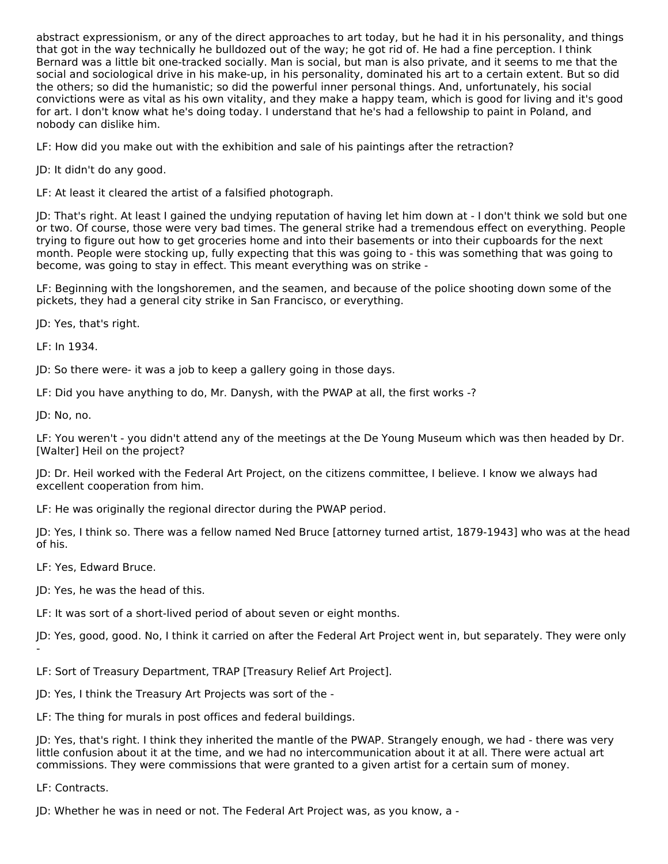abstract expressionism, or any of the direct approaches to art today, but he had it in his personality, and things that got in the way technically he bulldozed out of the way; he got rid of. He had a fine perception. I think Bernard was a little bit one-tracked socially. Man is social, but man is also private, and it seems to me that the social and sociological drive in his make-up, in his personality, dominated his art to a certain extent. But so did the others; so did the humanistic; so did the powerful inner personal things. And, unfortunately, his social convictions were as vital as his own vitality, and they make a happy team, which is good for living and it's good for art. I don't know what he's doing today. I understand that he's had a fellowship to paint in Poland, and nobody can dislike him.

LF: How did you make out with the exhibition and sale of his paintings after the retraction?

JD: It didn't do any good.

LF: At least it cleared the artist of a falsified photograph.

JD: That's right. At least I gained the undying reputation of having let him down at - I don't think we sold but one or two. Of course, those were very bad times. The general strike had a tremendous effect on everything. People trying to figure out how to get groceries home and into their basements or into their cupboards for the next month. People were stocking up, fully expecting that this was going to - this was something that was going to become, was going to stay in effect. This meant everything was on strike -

LF: Beginning with the longshoremen, and the seamen, and because of the police shooting down some of the pickets, they had a general city strike in San Francisco, or everything.

JD: Yes, that's right.

LF: In 1934.

JD: So there were- it was a job to keep a gallery going in those days.

LF: Did you have anything to do, Mr. Danysh, with the PWAP at all, the first works -?

JD: No, no.

LF: You weren't - you didn't attend any of the meetings at the De Young Museum which was then headed by Dr. [Walter] Heil on the project?

JD: Dr. Heil worked with the Federal Art Project, on the citizens committee, I believe. I know we always had excellent cooperation from him.

LF: He was originally the regional director during the PWAP period.

JD: Yes, I think so. There was a fellow named Ned Bruce [attorney turned artist, 1879-1943] who was at the head of his.

LF: Yes, Edward Bruce.

JD: Yes, he was the head of this.

LF: It was sort of a short-lived period of about seven or eight months.

JD: Yes, good, good. No, I think it carried on after the Federal Art Project went in, but separately. They were only -

LF: Sort of Treasury Department, TRAP [Treasury Relief Art Project].

JD: Yes, I think the Treasury Art Projects was sort of the -

LF: The thing for murals in post offices and federal buildings.

JD: Yes, that's right. I think they inherited the mantle of the PWAP. Strangely enough, we had - there was very little confusion about it at the time, and we had no intercommunication about it at all. There were actual art commissions. They were commissions that were granted to a given artist for a certain sum of money.

LF: Contracts.

JD: Whether he was in need or not. The Federal Art Project was, as you know, a -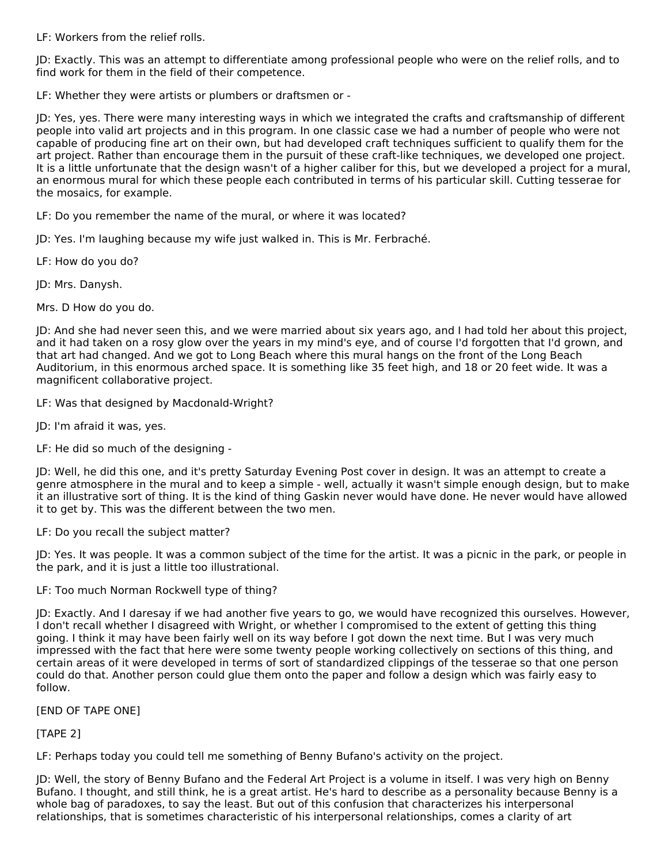LF: Workers from the relief rolls.

JD: Exactly. This was an attempt to differentiate among professional people who were on the relief rolls, and to find work for them in the field of their competence.

LF: Whether they were artists or plumbers or draftsmen or -

JD: Yes, yes. There were many interesting ways in which we integrated the crafts and craftsmanship of different people into valid art projects and in this program. In one classic case we had a number of people who were not capable of producing fine art on their own, but had developed craft techniques sufficient to qualify them for the art project. Rather than encourage them in the pursuit of these craft-like techniques, we developed one project. It is a little unfortunate that the design wasn't of a higher caliber for this, but we developed a project for a mural, an enormous mural for which these people each contributed in terms of his particular skill. Cutting tesserae for the mosaics, for example.

LF: Do you remember the name of the mural, or where it was located?

JD: Yes. I'm laughing because my wife just walked in. This is Mr. Ferbraché.

LF: How do you do?

JD: Mrs. Danysh.

Mrs. D How do you do.

JD: And she had never seen this, and we were married about six years ago, and I had told her about this project, and it had taken on a rosy glow over the years in my mind's eye, and of course I'd forgotten that I'd grown, and that art had changed. And we got to Long Beach where this mural hangs on the front of the Long Beach Auditorium, in this enormous arched space. It is something like 35 feet high, and 18 or 20 feet wide. It was a magnificent collaborative project.

LF: Was that designed by Macdonald-Wright?

JD: I'm afraid it was, yes.

LF: He did so much of the designing -

JD: Well, he did this one, and it's pretty Saturday Evening Post cover in design. It was an attempt to create a genre atmosphere in the mural and to keep a simple - well, actually it wasn't simple enough design, but to make it an illustrative sort of thing. It is the kind of thing Gaskin never would have done. He never would have allowed it to get by. This was the different between the two men.

LF: Do you recall the subject matter?

JD: Yes. It was people. It was a common subject of the time for the artist. It was a picnic in the park, or people in the park, and it is just a little too illustrational.

LF: Too much Norman Rockwell type of thing?

JD: Exactly. And I daresay if we had another five years to go, we would have recognized this ourselves. However, I don't recall whether I disagreed with Wright, or whether I compromised to the extent of getting this thing going. I think it may have been fairly well on its way before I got down the next time. But I was very much impressed with the fact that here were some twenty people working collectively on sections of this thing, and certain areas of it were developed in terms of sort of standardized clippings of the tesserae so that one person could do that. Another person could glue them onto the paper and follow a design which was fairly easy to follow.

[END OF TAPE ONE]

[TAPE 2]

LF: Perhaps today you could tell me something of Benny Bufano's activity on the project.

JD: Well, the story of Benny Bufano and the Federal Art Project is a volume in itself. I was very high on Benny Bufano. I thought, and still think, he is a great artist. He's hard to describe as a personality because Benny is a whole bag of paradoxes, to say the least. But out of this confusion that characterizes his interpersonal relationships, that is sometimes characteristic of his interpersonal relationships, comes a clarity of art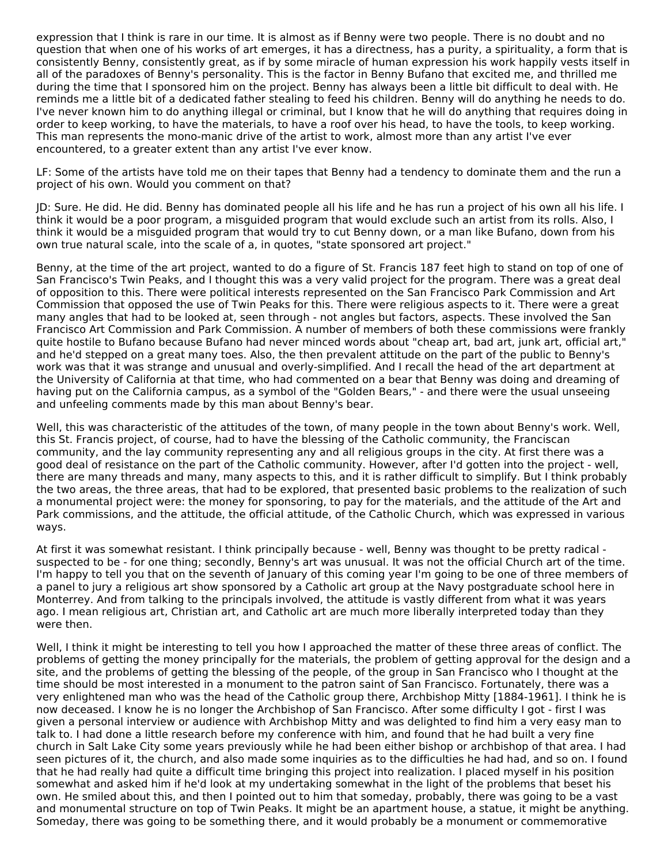expression that I think is rare in our time. It is almost as if Benny were two people. There is no doubt and no question that when one of his works of art emerges, it has a directness, has a purity, a spirituality, a form that is consistently Benny, consistently great, as if by some miracle of human expression his work happily vests itself in all of the paradoxes of Benny's personality. This is the factor in Benny Bufano that excited me, and thrilled me during the time that I sponsored him on the project. Benny has always been a little bit difficult to deal with. He reminds me a little bit of a dedicated father stealing to feed his children. Benny will do anything he needs to do. I've never known him to do anything illegal or criminal, but I know that he will do anything that requires doing in order to keep working, to have the materials, to have a roof over his head, to have the tools, to keep working. This man represents the mono-manic drive of the artist to work, almost more than any artist I've ever encountered, to a greater extent than any artist I've ever know.

LF: Some of the artists have told me on their tapes that Benny had a tendency to dominate them and the run a project of his own. Would you comment on that?

JD: Sure. He did. He did. Benny has dominated people all his life and he has run a project of his own all his life. I think it would be a poor program, a misguided program that would exclude such an artist from its rolls. Also, I think it would be a misguided program that would try to cut Benny down, or a man like Bufano, down from his own true natural scale, into the scale of a, in quotes, "state sponsored art project."

Benny, at the time of the art project, wanted to do a figure of St. Francis 187 feet high to stand on top of one of San Francisco's Twin Peaks, and I thought this was a very valid project for the program. There was a great deal of opposition to this. There were political interests represented on the San Francisco Park Commission and Art Commission that opposed the use of Twin Peaks for this. There were religious aspects to it. There were a great many angles that had to be looked at, seen through - not angles but factors, aspects. These involved the San Francisco Art Commission and Park Commission. A number of members of both these commissions were frankly quite hostile to Bufano because Bufano had never minced words about "cheap art, bad art, junk art, official art," and he'd stepped on a great many toes. Also, the then prevalent attitude on the part of the public to Benny's work was that it was strange and unusual and overly-simplified. And I recall the head of the art department at the University of California at that time, who had commented on a bear that Benny was doing and dreaming of having put on the California campus, as a symbol of the "Golden Bears," - and there were the usual unseeing and unfeeling comments made by this man about Benny's bear.

Well, this was characteristic of the attitudes of the town, of many people in the town about Benny's work. Well, this St. Francis project, of course, had to have the blessing of the Catholic community, the Franciscan community, and the lay community representing any and all religious groups in the city. At first there was a good deal of resistance on the part of the Catholic community. However, after I'd gotten into the project - well, there are many threads and many, many aspects to this, and it is rather difficult to simplify. But I think probably the two areas, the three areas, that had to be explored, that presented basic problems to the realization of such a monumental project were: the money for sponsoring, to pay for the materials, and the attitude of the Art and Park commissions, and the attitude, the official attitude, of the Catholic Church, which was expressed in various ways.

At first it was somewhat resistant. I think principally because - well, Benny was thought to be pretty radical suspected to be - for one thing; secondly, Benny's art was unusual. It was not the official Church art of the time. I'm happy to tell you that on the seventh of January of this coming year I'm going to be one of three members of a panel to jury a religious art show sponsored by a Catholic art group at the Navy postgraduate school here in Monterrey. And from talking to the principals involved, the attitude is vastly different from what it was years ago. I mean religious art, Christian art, and Catholic art are much more liberally interpreted today than they were then.

Well, I think it might be interesting to tell you how I approached the matter of these three areas of conflict. The problems of getting the money principally for the materials, the problem of getting approval for the design and a site, and the problems of getting the blessing of the people, of the group in San Francisco who I thought at the time should be most interested in a monument to the patron saint of San Francisco. Fortunately, there was a very enlightened man who was the head of the Catholic group there, Archbishop Mitty [1884-1961]. I think he is now deceased. I know he is no longer the Archbishop of San Francisco. After some difficulty I got - first I was given a personal interview or audience with Archbishop Mitty and was delighted to find him a very easy man to talk to. I had done a little research before my conference with him, and found that he had built a very fine church in Salt Lake City some years previously while he had been either bishop or archbishop of that area. I had seen pictures of it, the church, and also made some inquiries as to the difficulties he had had, and so on. I found that he had really had quite a difficult time bringing this project into realization. I placed myself in his position somewhat and asked him if he'd look at my undertaking somewhat in the light of the problems that beset his own. He smiled about this, and then I pointed out to him that someday, probably, there was going to be a vast and monumental structure on top of Twin Peaks. It might be an apartment house, a statue, it might be anything. Someday, there was going to be something there, and it would probably be a monument or commemorative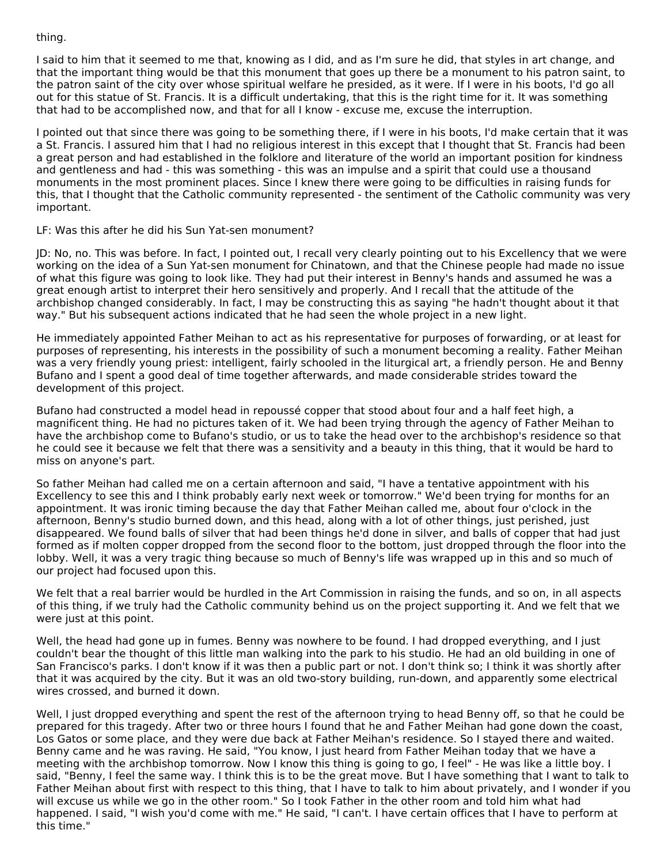thing.

I said to him that it seemed to me that, knowing as I did, and as I'm sure he did, that styles in art change, and that the important thing would be that this monument that goes up there be a monument to his patron saint, to the patron saint of the city over whose spiritual welfare he presided, as it were. If I were in his boots, I'd go all out for this statue of St. Francis. It is a difficult undertaking, that this is the right time for it. It was something that had to be accomplished now, and that for all I know - excuse me, excuse the interruption.

I pointed out that since there was going to be something there, if I were in his boots, I'd make certain that it was a St. Francis. I assured him that I had no religious interest in this except that I thought that St. Francis had been a great person and had established in the folklore and literature of the world an important position for kindness and gentleness and had - this was something - this was an impulse and a spirit that could use a thousand monuments in the most prominent places. Since I knew there were going to be difficulties in raising funds for this, that I thought that the Catholic community represented - the sentiment of the Catholic community was very important.

LF: Was this after he did his Sun Yat-sen monument?

JD: No, no. This was before. In fact, I pointed out, I recall very clearly pointing out to his Excellency that we were working on the idea of a Sun Yat-sen monument for Chinatown, and that the Chinese people had made no issue of what this figure was going to look like. They had put their interest in Benny's hands and assumed he was a great enough artist to interpret their hero sensitively and properly. And I recall that the attitude of the archbishop changed considerably. In fact, I may be constructing this as saying "he hadn't thought about it that way." But his subsequent actions indicated that he had seen the whole project in a new light.

He immediately appointed Father Meihan to act as his representative for purposes of forwarding, or at least for purposes of representing, his interests in the possibility of such a monument becoming a reality. Father Meihan was a very friendly young priest: intelligent, fairly schooled in the liturgical art, a friendly person. He and Benny Bufano and I spent a good deal of time together afterwards, and made considerable strides toward the development of this project.

Bufano had constructed a model head in repoussé copper that stood about four and a half feet high, a magnificent thing. He had no pictures taken of it. We had been trying through the agency of Father Meihan to have the archbishop come to Bufano's studio, or us to take the head over to the archbishop's residence so that he could see it because we felt that there was a sensitivity and a beauty in this thing, that it would be hard to miss on anyone's part.

So father Meihan had called me on a certain afternoon and said, "I have a tentative appointment with his Excellency to see this and I think probably early next week or tomorrow." We'd been trying for months for an appointment. It was ironic timing because the day that Father Meihan called me, about four o'clock in the afternoon, Benny's studio burned down, and this head, along with a lot of other things, just perished, just disappeared. We found balls of silver that had been things he'd done in silver, and balls of copper that had just formed as if molten copper dropped from the second floor to the bottom, just dropped through the floor into the lobby. Well, it was a very tragic thing because so much of Benny's life was wrapped up in this and so much of our project had focused upon this.

We felt that a real barrier would be hurdled in the Art Commission in raising the funds, and so on, in all aspects of this thing, if we truly had the Catholic community behind us on the project supporting it. And we felt that we were just at this point.

Well, the head had gone up in fumes. Benny was nowhere to be found. I had dropped everything, and I just couldn't bear the thought of this little man walking into the park to his studio. He had an old building in one of San Francisco's parks. I don't know if it was then a public part or not. I don't think so; I think it was shortly after that it was acquired by the city. But it was an old two-story building, run-down, and apparently some electrical wires crossed, and burned it down.

Well, I just dropped everything and spent the rest of the afternoon trying to head Benny off, so that he could be prepared for this tragedy. After two or three hours I found that he and Father Meihan had gone down the coast, Los Gatos or some place, and they were due back at Father Meihan's residence. So I stayed there and waited. Benny came and he was raving. He said, "You know, I just heard from Father Meihan today that we have a meeting with the archbishop tomorrow. Now I know this thing is going to go, I feel" - He was like a little boy. I said, "Benny, I feel the same way. I think this is to be the great move. But I have something that I want to talk to Father Meihan about first with respect to this thing, that I have to talk to him about privately, and I wonder if you will excuse us while we go in the other room." So I took Father in the other room and told him what had happened. I said, "I wish you'd come with me." He said, "I can't. I have certain offices that I have to perform at this time."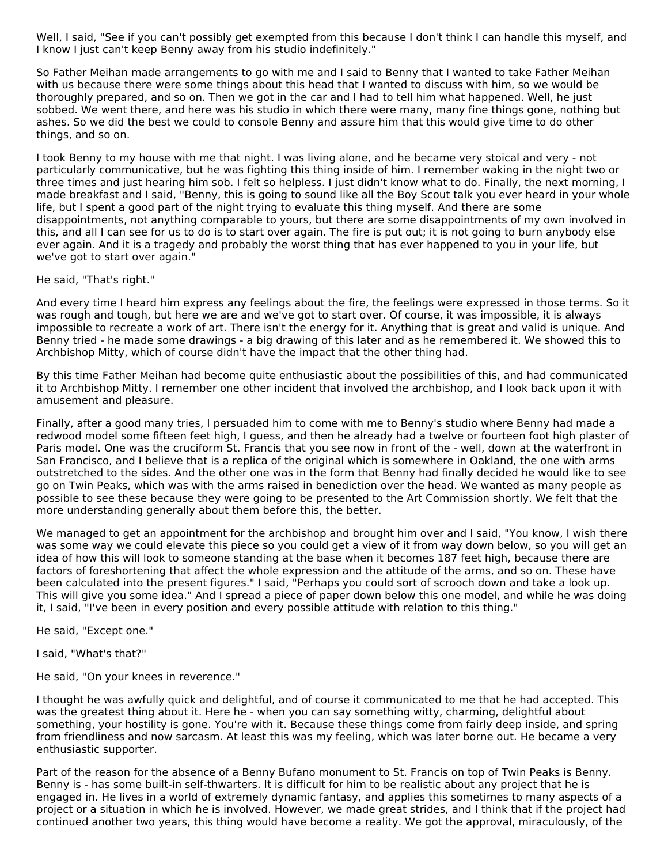Well, I said, "See if you can't possibly get exempted from this because I don't think I can handle this myself, and I know I just can't keep Benny away from his studio indefinitely."

So Father Meihan made arrangements to go with me and I said to Benny that I wanted to take Father Meihan with us because there were some things about this head that I wanted to discuss with him, so we would be thoroughly prepared, and so on. Then we got in the car and I had to tell him what happened. Well, he just sobbed. We went there, and here was his studio in which there were many, many fine things gone, nothing but ashes. So we did the best we could to console Benny and assure him that this would give time to do other things, and so on.

I took Benny to my house with me that night. I was living alone, and he became very stoical and very - not particularly communicative, but he was fighting this thing inside of him. I remember waking in the night two or three times and just hearing him sob. I felt so helpless. I just didn't know what to do. Finally, the next morning, I made breakfast and I said, "Benny, this is going to sound like all the Boy Scout talk you ever heard in your whole life, but I spent a good part of the night trying to evaluate this thing myself. And there are some disappointments, not anything comparable to yours, but there are some disappointments of my own involved in this, and all I can see for us to do is to start over again. The fire is put out; it is not going to burn anybody else ever again. And it is a tragedy and probably the worst thing that has ever happened to you in your life, but we've got to start over again."

He said, "That's right."

And every time I heard him express any feelings about the fire, the feelings were expressed in those terms. So it was rough and tough, but here we are and we've got to start over. Of course, it was impossible, it is always impossible to recreate a work of art. There isn't the energy for it. Anything that is great and valid is unique. And Benny tried - he made some drawings - a big drawing of this later and as he remembered it. We showed this to Archbishop Mitty, which of course didn't have the impact that the other thing had.

By this time Father Meihan had become quite enthusiastic about the possibilities of this, and had communicated it to Archbishop Mitty. I remember one other incident that involved the archbishop, and I look back upon it with amusement and pleasure.

Finally, after a good many tries, I persuaded him to come with me to Benny's studio where Benny had made a redwood model some fifteen feet high, I guess, and then he already had a twelve or fourteen foot high plaster of Paris model. One was the cruciform St. Francis that you see now in front of the - well, down at the waterfront in San Francisco, and I believe that is a replica of the original which is somewhere in Oakland, the one with arms outstretched to the sides. And the other one was in the form that Benny had finally decided he would like to see go on Twin Peaks, which was with the arms raised in benediction over the head. We wanted as many people as possible to see these because they were going to be presented to the Art Commission shortly. We felt that the more understanding generally about them before this, the better.

We managed to get an appointment for the archbishop and brought him over and I said, "You know, I wish there was some way we could elevate this piece so you could get a view of it from way down below, so you will get an idea of how this will look to someone standing at the base when it becomes 187 feet high, because there are factors of foreshortening that affect the whole expression and the attitude of the arms, and so on. These have been calculated into the present figures." I said, "Perhaps you could sort of scrooch down and take a look up. This will give you some idea." And I spread a piece of paper down below this one model, and while he was doing it, I said, "I've been in every position and every possible attitude with relation to this thing."

He said, "Except one."

I said, "What's that?"

He said, "On your knees in reverence."

I thought he was awfully quick and delightful, and of course it communicated to me that he had accepted. This was the greatest thing about it. Here he - when you can say something witty, charming, delightful about something, your hostility is gone. You're with it. Because these things come from fairly deep inside, and spring from friendliness and now sarcasm. At least this was my feeling, which was later borne out. He became a very enthusiastic supporter.

Part of the reason for the absence of a Benny Bufano monument to St. Francis on top of Twin Peaks is Benny. Benny is - has some built-in self-thwarters. It is difficult for him to be realistic about any project that he is engaged in. He lives in a world of extremely dynamic fantasy, and applies this sometimes to many aspects of a project or a situation in which he is involved. However, we made great strides, and I think that if the project had continued another two years, this thing would have become a reality. We got the approval, miraculously, of the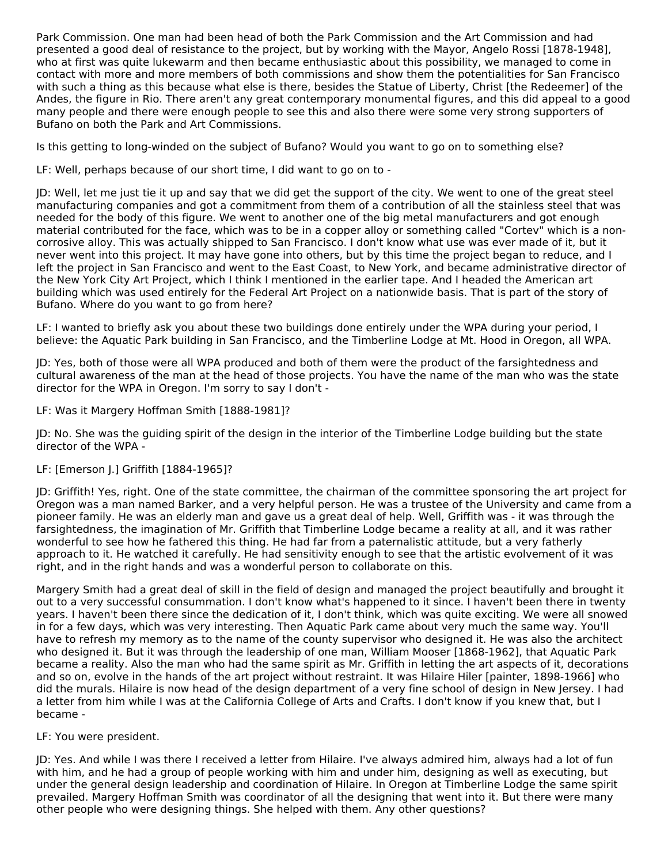Park Commission. One man had been head of both the Park Commission and the Art Commission and had presented a good deal of resistance to the project, but by working with the Mayor, Angelo Rossi [1878-1948], who at first was quite lukewarm and then became enthusiastic about this possibility, we managed to come in contact with more and more members of both commissions and show them the potentialities for San Francisco with such a thing as this because what else is there, besides the Statue of Liberty, Christ [the Redeemer] of the Andes, the figure in Rio. There aren't any great contemporary monumental figures, and this did appeal to a good many people and there were enough people to see this and also there were some very strong supporters of Bufano on both the Park and Art Commissions.

Is this getting to long-winded on the subject of Bufano? Would you want to go on to something else?

LF: Well, perhaps because of our short time, I did want to go on to -

JD: Well, let me just tie it up and say that we did get the support of the city. We went to one of the great steel manufacturing companies and got a commitment from them of a contribution of all the stainless steel that was needed for the body of this figure. We went to another one of the big metal manufacturers and got enough material contributed for the face, which was to be in a copper alloy or something called "Cortev" which is a noncorrosive alloy. This was actually shipped to San Francisco. I don't know what use was ever made of it, but it never went into this project. It may have gone into others, but by this time the project began to reduce, and I left the project in San Francisco and went to the East Coast, to New York, and became administrative director of the New York City Art Project, which I think I mentioned in the earlier tape. And I headed the American art building which was used entirely for the Federal Art Project on a nationwide basis. That is part of the story of Bufano. Where do you want to go from here?

LF: I wanted to briefly ask you about these two buildings done entirely under the WPA during your period, I believe: the Aquatic Park building in San Francisco, and the Timberline Lodge at Mt. Hood in Oregon, all WPA.

JD: Yes, both of those were all WPA produced and both of them were the product of the farsightedness and cultural awareness of the man at the head of those projects. You have the name of the man who was the state director for the WPA in Oregon. I'm sorry to say I don't -

LF: Was it Margery Hoffman Smith [1888-1981]?

JD: No. She was the guiding spirit of the design in the interior of the Timberline Lodge building but the state director of the WPA -

#### LF: [Emerson J.] Griffith [1884-1965]?

JD: Griffith! Yes, right. One of the state committee, the chairman of the committee sponsoring the art project for Oregon was a man named Barker, and a very helpful person. He was a trustee of the University and came from a pioneer family. He was an elderly man and gave us a great deal of help. Well, Griffith was - it was through the farsightedness, the imagination of Mr. Griffith that Timberline Lodge became a reality at all, and it was rather wonderful to see how he fathered this thing. He had far from a paternalistic attitude, but a very fatherly approach to it. He watched it carefully. He had sensitivity enough to see that the artistic evolvement of it was right, and in the right hands and was a wonderful person to collaborate on this.

Margery Smith had a great deal of skill in the field of design and managed the project beautifully and brought it out to a very successful consummation. I don't know what's happened to it since. I haven't been there in twenty years. I haven't been there since the dedication of it, I don't think, which was quite exciting. We were all snowed in for a few days, which was very interesting. Then Aquatic Park came about very much the same way. You'll have to refresh my memory as to the name of the county supervisor who designed it. He was also the architect who designed it. But it was through the leadership of one man, William Mooser [1868-1962], that Aquatic Park became a reality. Also the man who had the same spirit as Mr. Griffith in letting the art aspects of it, decorations and so on, evolve in the hands of the art project without restraint. It was Hilaire Hiler [painter, 1898-1966] who did the murals. Hilaire is now head of the design department of a very fine school of design in New Jersey. I had a letter from him while I was at the California College of Arts and Crafts. I don't know if you knew that, but I became -

#### LF: You were president.

JD: Yes. And while I was there I received a letter from Hilaire. I've always admired him, always had a lot of fun with him, and he had a group of people working with him and under him, designing as well as executing, but under the general design leadership and coordination of Hilaire. In Oregon at Timberline Lodge the same spirit prevailed. Margery Hoffman Smith was coordinator of all the designing that went into it. But there were many other people who were designing things. She helped with them. Any other questions?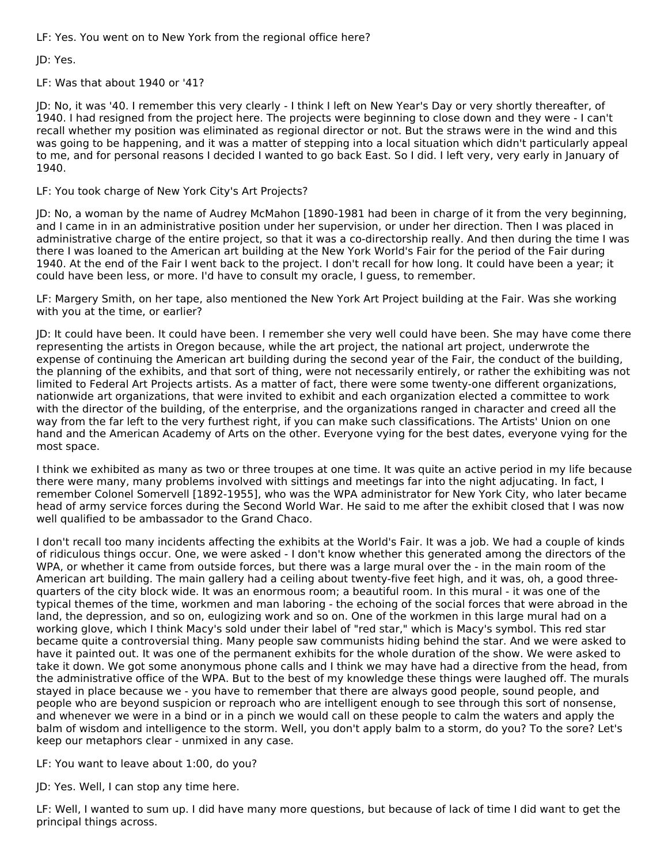LF: Yes. You went on to New York from the regional office here?

JD: Yes.

LF: Was that about 1940 or '41?

JD: No, it was '40. I remember this very clearly - I think I left on New Year's Day or very shortly thereafter, of 1940. I had resigned from the project here. The projects were beginning to close down and they were - I can't recall whether my position was eliminated as regional director or not. But the straws were in the wind and this was going to be happening, and it was a matter of stepping into a local situation which didn't particularly appeal to me, and for personal reasons I decided I wanted to go back East. So I did. I left very, very early in January of 1940.

LF: You took charge of New York City's Art Projects?

JD: No, a woman by the name of Audrey McMahon [1890-1981 had been in charge of it from the very beginning, and I came in in an administrative position under her supervision, or under her direction. Then I was placed in administrative charge of the entire project, so that it was a co-directorship really. And then during the time I was there I was loaned to the American art building at the New York World's Fair for the period of the Fair during 1940. At the end of the Fair I went back to the project. I don't recall for how long. It could have been a year; it could have been less, or more. I'd have to consult my oracle, I guess, to remember.

LF: Margery Smith, on her tape, also mentioned the New York Art Project building at the Fair. Was she working with you at the time, or earlier?

JD: It could have been. It could have been. I remember she very well could have been. She may have come there representing the artists in Oregon because, while the art project, the national art project, underwrote the expense of continuing the American art building during the second year of the Fair, the conduct of the building, the planning of the exhibits, and that sort of thing, were not necessarily entirely, or rather the exhibiting was not limited to Federal Art Projects artists. As a matter of fact, there were some twenty-one different organizations, nationwide art organizations, that were invited to exhibit and each organization elected a committee to work with the director of the building, of the enterprise, and the organizations ranged in character and creed all the way from the far left to the very furthest right, if you can make such classifications. The Artists' Union on one hand and the American Academy of Arts on the other. Everyone vying for the best dates, everyone vying for the most space.

I think we exhibited as many as two or three troupes at one time. It was quite an active period in my life because there were many, many problems involved with sittings and meetings far into the night adjucating. In fact, I remember Colonel Somervell [1892-1955], who was the WPA administrator for New York City, who later became head of army service forces during the Second World War. He said to me after the exhibit closed that I was now well qualified to be ambassador to the Grand Chaco.

I don't recall too many incidents affecting the exhibits at the World's Fair. It was a job. We had a couple of kinds of ridiculous things occur. One, we were asked - I don't know whether this generated among the directors of the WPA, or whether it came from outside forces, but there was a large mural over the - in the main room of the American art building. The main gallery had a ceiling about twenty-five feet high, and it was, oh, a good threequarters of the city block wide. It was an enormous room; a beautiful room. In this mural - it was one of the typical themes of the time, workmen and man laboring - the echoing of the social forces that were abroad in the land, the depression, and so on, eulogizing work and so on. One of the workmen in this large mural had on a working glove, which I think Macy's sold under their label of "red star," which is Macy's symbol. This red star became quite a controversial thing. Many people saw communists hiding behind the star. And we were asked to have it painted out. It was one of the permanent exhibits for the whole duration of the show. We were asked to take it down. We got some anonymous phone calls and I think we may have had a directive from the head, from the administrative office of the WPA. But to the best of my knowledge these things were laughed off. The murals stayed in place because we - you have to remember that there are always good people, sound people, and people who are beyond suspicion or reproach who are intelligent enough to see through this sort of nonsense, and whenever we were in a bind or in a pinch we would call on these people to calm the waters and apply the balm of wisdom and intelligence to the storm. Well, you don't apply balm to a storm, do you? To the sore? Let's keep our metaphors clear - unmixed in any case.

LF: You want to leave about 1:00, do you?

JD: Yes. Well, I can stop any time here.

LF: Well, I wanted to sum up. I did have many more questions, but because of lack of time I did want to get the principal things across.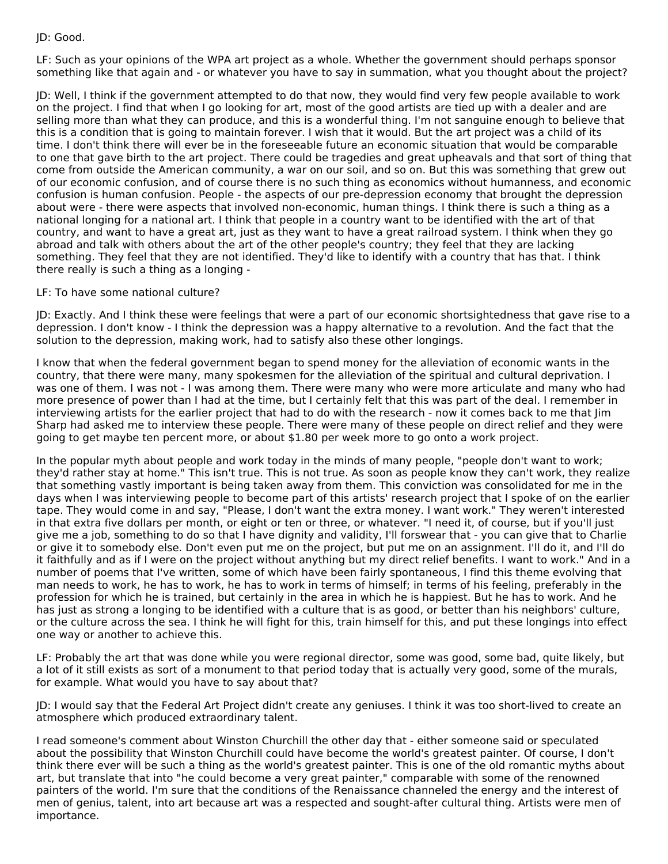# JD: Good.

LF: Such as your opinions of the WPA art project as a whole. Whether the government should perhaps sponsor something like that again and - or whatever you have to say in summation, what you thought about the project?

JD: Well, I think if the government attempted to do that now, they would find very few people available to work on the project. I find that when I go looking for art, most of the good artists are tied up with a dealer and are selling more than what they can produce, and this is a wonderful thing. I'm not sanguine enough to believe that this is a condition that is going to maintain forever. I wish that it would. But the art project was a child of its time. I don't think there will ever be in the foreseeable future an economic situation that would be comparable to one that gave birth to the art project. There could be tragedies and great upheavals and that sort of thing that come from outside the American community, a war on our soil, and so on. But this was something that grew out of our economic confusion, and of course there is no such thing as economics without humanness, and economic confusion is human confusion. People - the aspects of our pre-depression economy that brought the depression about were - there were aspects that involved non-economic, human things. I think there is such a thing as a national longing for a national art. I think that people in a country want to be identified with the art of that country, and want to have a great art, just as they want to have a great railroad system. I think when they go abroad and talk with others about the art of the other people's country; they feel that they are lacking something. They feel that they are not identified. They'd like to identify with a country that has that. I think there really is such a thing as a longing -

#### LF: To have some national culture?

JD: Exactly. And I think these were feelings that were a part of our economic shortsightedness that gave rise to a depression. I don't know - I think the depression was a happy alternative to a revolution. And the fact that the solution to the depression, making work, had to satisfy also these other longings.

I know that when the federal government began to spend money for the alleviation of economic wants in the country, that there were many, many spokesmen for the alleviation of the spiritual and cultural deprivation. I was one of them. I was not - I was among them. There were many who were more articulate and many who had more presence of power than I had at the time, but I certainly felt that this was part of the deal. I remember in interviewing artists for the earlier project that had to do with the research - now it comes back to me that Jim Sharp had asked me to interview these people. There were many of these people on direct relief and they were going to get maybe ten percent more, or about \$1.80 per week more to go onto a work project.

In the popular myth about people and work today in the minds of many people, "people don't want to work; they'd rather stay at home." This isn't true. This is not true. As soon as people know they can't work, they realize that something vastly important is being taken away from them. This conviction was consolidated for me in the days when I was interviewing people to become part of this artists' research project that I spoke of on the earlier tape. They would come in and say, "Please, I don't want the extra money. I want work." They weren't interested in that extra five dollars per month, or eight or ten or three, or whatever. "I need it, of course, but if you'll just give me a job, something to do so that I have dignity and validity, I'll forswear that - you can give that to Charlie or give it to somebody else. Don't even put me on the project, but put me on an assignment. I'll do it, and I'll do it faithfully and as if I were on the project without anything but my direct relief benefits. I want to work." And in a number of poems that I've written, some of which have been fairly spontaneous, I find this theme evolving that man needs to work, he has to work, he has to work in terms of himself; in terms of his feeling, preferably in the profession for which he is trained, but certainly in the area in which he is happiest. But he has to work. And he has just as strong a longing to be identified with a culture that is as good, or better than his neighbors' culture, or the culture across the sea. I think he will fight for this, train himself for this, and put these longings into effect one way or another to achieve this.

LF: Probably the art that was done while you were regional director, some was good, some bad, quite likely, but a lot of it still exists as sort of a monument to that period today that is actually very good, some of the murals, for example. What would you have to say about that?

JD: I would say that the Federal Art Project didn't create any geniuses. I think it was too short-lived to create an atmosphere which produced extraordinary talent.

I read someone's comment about Winston Churchill the other day that - either someone said or speculated about the possibility that Winston Churchill could have become the world's greatest painter. Of course, I don't think there ever will be such a thing as the world's greatest painter. This is one of the old romantic myths about art, but translate that into "he could become a very great painter," comparable with some of the renowned painters of the world. I'm sure that the conditions of the Renaissance channeled the energy and the interest of men of genius, talent, into art because art was a respected and sought-after cultural thing. Artists were men of importance.